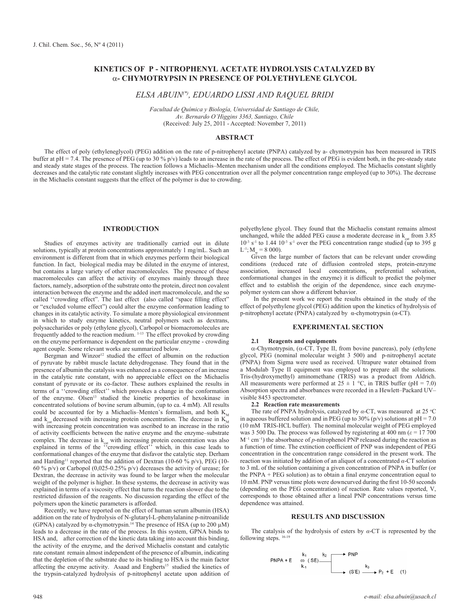# **KINETICS OF P - NITROPHENYL ACETATE HYDROLYSIS CATALYZED BY**  a**- CHYMOTRYPSIN IN PRESENCE OF POLYETHYLENE GLYCOL**

# *ELSA ABUIN(\*), EDUARDO LISSI AND RAQUEL BRIDI*

*Facultad de Química y Biología, Universidad de Santiago de Chile, Av. Bernardo O'Higgins 3363, Santiago, Chile* (Received: July 25, 2011 - Accepted: November 7, 2011)

## **ABSTRACT**

The effect of poly (ethyleneglycol) (PEG) addition on the rate of p-nitrophenyl acetate (PNPA) catalyzed by a- chymotrypsin has been measured in TRIS buffer at pH = 7.4. The presence of PEG (up to 30 % p/v) leads to an increase in the rate of the process. The effect of PEG is evident both, in the pre-steady state and steady state stages of the process. The reaction follows a Michaelis–Menten mechanism under all the conditions employed. The Michaelis constant slightly decreases and the catalytic rate constant slightly increases with PEG concentration over all the polymer concentration range employed (up to 30%). The decrease in the Michaelis constant suggests that the effect of the polymer is due to crowding.

## **INTRODUCTION**

Studies of enzymes activity are traditionally carried out in dilute solutions, typically at protein concentrations approximately 1 mg/mL. Such an environment is different from that in which enzymes perform their biological function. In fact, biological media may be diluted in the enzyme of interest, but contains a large variety of other macromolecules. The presence of these macromolecules can affect the activity of enzymes mainly through three factors, namely, adsorption of the substrate onto the protein, direct non covalent interaction between the enzyme and the added inert macromolecule, and the so called ''crowding effect". The last effect (also called "space filling effect" or "excluded volume effect") could alter the enzyme conformation leading to changes in its catalytic activity. To simulate a more physiological environment in which to study enzyme kinetics, neutral polymers such as dextrans, polysaccharides or poly (ethylene glycol), Carbopol or biomacromolecules are frequently added to the reaction medium. 1-13 The effect provoked by crowding on the enzyme performance is dependent on the particular enzyme - crowding agent couple. Some relevant works are summarized below.

Bergman and Winzor<sup>12</sup> studied the effect of albumin on the reduction of pyruvate by rabbit muscle lactate dehydrogenase. They found that in the presence of albumin the catalysis was enhanced as a consequence of an increase in the catalytic rate constant, with no appreciable effect on the Michaelis constant of pyruvate or its co-factor. These authors explained the results in terms of a ''crowding effect'' which provokes a change in the conformation of the enzyme. Olsen13 studied the kinetic properties of hexokinase in concentrated solutions of bovine serum albumin, (up to ca. 4 mM). All results could be accounted for by a Michaelis–Menten's formalism, and both  $K<sub>M</sub>$ and k<sub>on</sub> decreased with increasing protein concentration. The decrease in  $K_M^m$ with increasing protein concentration was ascribed to an increase in the ratio of activity coefficients between the native enzyme and the enzyme–substrate complex. The decrease in  $k_{cat}$  with increasing protein concentration was also explained in terms of the "crowding effect" which, in this case leads to conformational changes of the enzyme that disfavor the catalytic step. Derham and Harding<sup>11</sup> reported that the addition of Dextran (10-60  $\%$  p/v), PEG (10-60 % p/v) or Carbopol (0,025-0.25% p/v) decreases the activity of urease; for Dextran, the decrease in activity was found to be larger when the molecular weight of the polymer is higher. In these systems, the decrease in activity was explained in terms of a viscosity effect that turns the reaction slower due to the restricted difussion of the reagents. No discussion regarding the effect of the polymers upon the kinetic parameters is afforded.

Recently, we have reported on the effect of human serum albumin (HSA) addition on the rate of hydrolysis of N-glutaryl-L-phenylalanine p-nitroanilide (GPNA) catalyzed by α-chymotrypsin.14 The presence of HSA (up to 200 µM) leads to a decrease in the rate of the process. In this system, GPNA binds to HSA and, after correction of the kinetic data taking into account this binding, the activity of the enzyme, and the derived Michaelis constant and catalytic rate constant remain almost independent of the presence of albumin, indicating that the depletion of the substrate due to its binding to HSA is the main factor affecting the enzyme activity. Asaad and Engberts<sup>15</sup> studied the kinetics of the trypsin-catalyzed hydrolysis of p-nitrophenyl acetate upon addition of polyethylene glycol. They found that the Michaelis constant remains almost unchanged, while the added PEG cause a moderate decrease in  $k_{\text{cat}}$  from 3.85  $10^{-3}$  s<sup>-1</sup> to 1.44  $10^{-3}$  s<sup>-1</sup> over the PEG concentration range studied (up to 395 g  $L^{-1}$ ;  $M = 8000$ ).

Given the large number of factors that can be relevant under crowding conditions (reduced rate of diffusion controled steps, protein-enzyme association, increased local concentrations, preferential solvation, conformational changes in the enzyme) it is difficult to predict the polymer effect and to establish the origin of the dependence, since each enzymepolymer system can show a different behavior.

 In the present work we report the results obtained in the study of the effect of polyethylene glycol (PEG) addition upon the kinetics of hydrolysis of p-nitrophenyl acetate (PNPA) catalyzed by α-chymotrypsin (α-CT).

## **EXPERIMENTAL SECTION**

#### **2.1 Reagents and equipments**

 $\alpha$ -Chymotrypsin, ( $\alpha$ -CT, Type II, from bovine pancreas), poly (ethylene glycol, PEG (nominal molecular weight 3 500) and p-nitrophenyl acetate (PNPA) from Sigma were used as received. Ultrapure water obtained from a Modulab Type II equipment was employed to prepare all the solutions. Tris-(hydroxymethyl) aminomethane (TRIS) was a product from Aldrich. All measurements were performed at  $25 \pm 1$  °C, in TRIS buffer (pH = 7.0) Absorption spectra and absorbances were recorded in a Hewlett–Packard UV– visible 8453 spectrometer.

### **2.2 Reaction rate measurements**

The rate of PNPA hydrolysis, catalyzed by  $\alpha$ -CT, was measured at 25 °C in aqueous buffered solution and in PEG (up to  $30\%$  (p/v) solutions at pH = 7.0 (10 mM TRIS-HCL buffer). The nominal molecular weight of PEG employed was 3 500 Da. The process was followed by registering at 400 nm ( $\varepsilon$  = 17 700) M−1 cm−1) the absorbance of *p*-nitrophenol PNP released during the reaction as a function of time. The extinction coefficient of PNP was independent of PEG concentration in the concentration range considered in the present work. The reaction was initiated by addition of an aliquot of a concentrated *α*-CT solution to 3 mL of the solution containing a given concentration of PNPA in buffer (or the PNPA + PEG solution) as to obtain a final enzyme concentration equal to 10 mM. PNP versus time plots were downcurved during the first 10-50 seconds (depending on the PEG concentration) of reaction. Rate values reported, V, corresponds to those obtained after a lineal PNP concentrations versus time dependence was attained.

### **RESULTS AND DISCUSSION**

The catalysis of the hydrolysis of esters by *α*-CT is represented by the following steps.  $16-19$ 

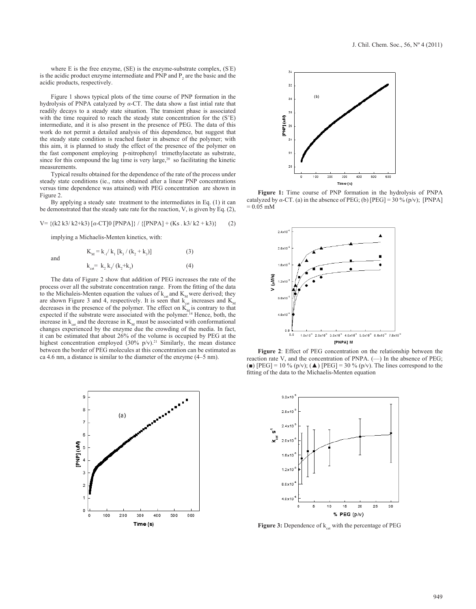where E is the free enzyme, (SE) is the enzyme-substrate complex, (S' E) is the acidic product enzyme intermediate and PNP and  $P_2$  are the basic and the acidic products, respectively.

Figure 1 shows typical plots of the time course of PNP formation in the hydrolysis of PNPA catalyzed by *α*-CT. The data show a fast intial rate that readily decays to a steady state situation. The transient phase is associated with the time required to reach the steady state concentration for the  $(S<sup>z</sup>E)$ intermediate, and it is also present in the presence of PEG. The data of this work do not permit a detailed analysis of this dependence, but suggest that the steady state condition is reached faster in absence of the polymer; with this aim, it is planned to study the effect of the presence of the polymer on the fast component employing p-nitrophenyl trimethylacetate as substrate, since for this compound the lag time is very large,<sup>20</sup> so facilitating the kinetic measurements.

Typical results obtained for the dependence of the rate of the process under steady state conditions (ie., rates obtained after a linear PNP concentrations versus time dependence was attained) with PEG concentration are shown in Figure 2.

By applying a steady sate treatment to the intermediates in Eq. (1) it can be demonstrated that the steady sate rate for the reaction, V, is given by Eq. (2),

$$
V = \{(k2 k3 / k2 + k3) [\alpha - CT] 0 [PNPA] \} / \{ [PNPA] + (Ks . k3 / k2 + k3) \} \tag{2}
$$

implying a Michaelis-Menten kinetics, with:

and

and 
$$
K_M = k_{.1}/k_1 [k_3/(k_2 + k_3)]
$$
 (3)  
 $k_{cat} = k_2 k_3/(k_2 + k_3)$  (4)

The data of Figure 2 show that addition of PEG increases the rate of the process over all the substrate concentration range. From the fitting of the data to the Michaleis-Menten equation the values of  $k<sub>cat</sub>$  and  $K<sub>M</sub>$  were derived; they are shown Figure 3 and 4, respectively. It is seen that  $k_{\text{cat}}$  increases and  $K_{\text{M}}$ decreases in the presence of the polymer. The effect on  $K_{M}$  is contrary to that expected if the substrate were associated with the polymer.<sup>14</sup> Hence, both, the increase in  $k_{\text{cat}}$  and the decrease in  $K_{\text{M}}$  must be associated with conformational changes experienced by the enzyme due the crowding of the media. In fact, it can be estimated that about 26% of the volume is occupied by PEG at the highest concentration employed  $(30\% \text{ p/v})$ .<sup>21</sup> Similarly, the mean distance between the border of PEG molecules at this concentration can be estimated as ca 4.6 nm, a distance is similar to the diameter of the enzyme (4–5 nm).





**Figure 1:** Time course of PNP formation in the hydrolysis of PNPA catalyzed by  $\alpha$ -CT. (a) in the absence of PEG; (b) [PEG] = 30 % (p/v); [PNPA]  $= 0.05$  mM



**Figure 2**: Effect of PEG concentration on the relationship between the reaction rate V, and the concentration of PNPA.  $(-)$  In the absence of PEG; (■)  $[PEG] = 10 \% (p/v);$  ( $\triangle$ )  $[PEG] = 30 \% (p/v)$ . The lines correspond to the fitting of the data to the Michaelis-Menten equation



Figure 3: Dependence of  $k_{cat}$  with the percentage of PEG